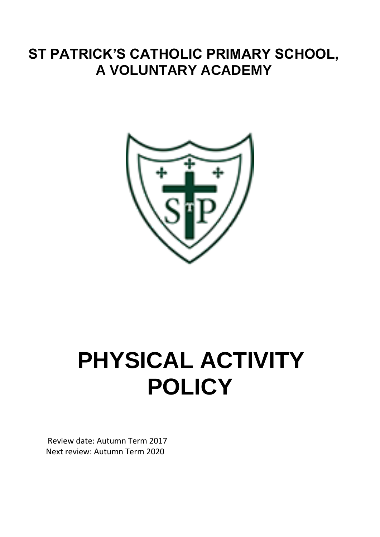# **ST PATRICK'S CATHOLIC PRIMARY SCHOOL, A VOLUNTARY ACADEMY**



# **PHYSICAL ACTIVITY POLICY**

Review date: Autumn Term 2017 Next review: Autumn Term 2020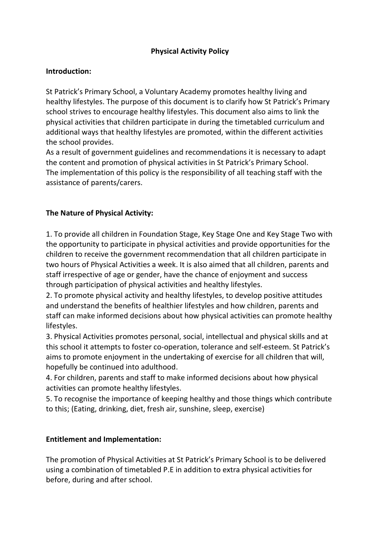### **Physical Activity Policy**

#### **Introduction:**

St Patrick's Primary School, a Voluntary Academy promotes healthy living and healthy lifestyles. The purpose of this document is to clarify how St Patrick's Primary school strives to encourage healthy lifestyles. This document also aims to link the physical activities that children participate in during the timetabled curriculum and additional ways that healthy lifestyles are promoted, within the different activities the school provides.

As a result of government guidelines and recommendations it is necessary to adapt the content and promotion of physical activities in St Patrick's Primary School. The implementation of this policy is the responsibility of all teaching staff with the assistance of parents/carers.

### **The Nature of Physical Activity:**

1. To provide all children in Foundation Stage, Key Stage One and Key Stage Two with the opportunity to participate in physical activities and provide opportunities for the children to receive the government recommendation that all children participate in two hours of Physical Activities a week. It is also aimed that all children, parents and staff irrespective of age or gender, have the chance of enjoyment and success through participation of physical activities and healthy lifestyles.

2. To promote physical activity and healthy lifestyles, to develop positive attitudes and understand the benefits of healthier lifestyles and how children, parents and staff can make informed decisions about how physical activities can promote healthy lifestyles.

3. Physical Activities promotes personal, social, intellectual and physical skills and at this school it attempts to foster co-operation, tolerance and self-esteem. St Patrick's aims to promote enjoyment in the undertaking of exercise for all children that will, hopefully be continued into adulthood.

4. For children, parents and staff to make informed decisions about how physical activities can promote healthy lifestyles.

5. To recognise the importance of keeping healthy and those things which contribute to this; (Eating, drinking, diet, fresh air, sunshine, sleep, exercise)

#### **Entitlement and Implementation:**

The promotion of Physical Activities at St Patrick's Primary School is to be delivered using a combination of timetabled P.E in addition to extra physical activities for before, during and after school.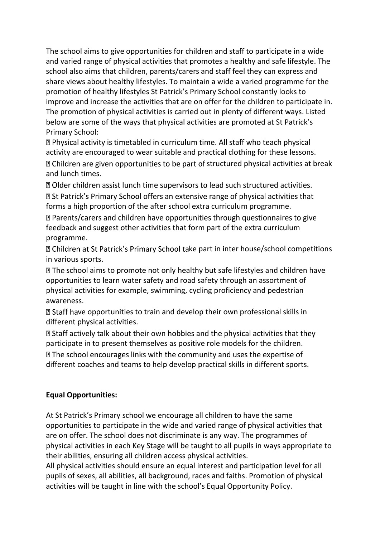The school aims to give opportunities for children and staff to participate in a wide and varied range of physical activities that promotes a healthy and safe lifestyle. The school also aims that children, parents/carers and staff feel they can express and share views about healthy lifestyles. To maintain a wide a varied programme for the promotion of healthy lifestyles St Patrick's Primary School constantly looks to improve and increase the activities that are on offer for the children to participate in. The promotion of physical activities is carried out in plenty of different ways. Listed below are some of the ways that physical activities are promoted at St Patrick's Primary School:

**I.** Physical activity is timetabled in curriculum time. All staff who teach physical activity are encouraged to wear suitable and practical clothing for these lessons.  $\mathbb B$  Children are given opportunities to be part of structured physical activities at break and lunch times.

20 Older children assist lunch time supervisors to lead such structured activities.

**sqrt85 St Patrick's Primary School offers an extensive range of physical activities that** forms a high proportion of the after school extra curriculum programme.

■ Parents/carers and children have opportunities through questionnaires to give feedback and suggest other activities that form part of the extra curriculum programme.

**D** Children at St Patrick's Primary School take part in inter house/school competitions in various sports.

 $\mathbb B$  The school aims to promote not only healthy but safe lifestyles and children have opportunities to learn water safety and road safety through an assortment of physical activities for example, swimming, cycling proficiency and pedestrian awareness.

 $\mathbb B$  Staff have opportunities to train and develop their own professional skills in different physical activities.

**sqrta** Staff actively talk about their own hobbies and the physical activities that they participate in to present themselves as positive role models for the children.

**Ⅱ** The school encourages links with the community and uses the expertise of different coaches and teams to help develop practical skills in different sports.

#### **Equal Opportunities:**

At St Patrick's Primary school we encourage all children to have the same opportunities to participate in the wide and varied range of physical activities that are on offer. The school does not discriminate is any way. The programmes of physical activities in each Key Stage will be taught to all pupils in ways appropriate to their abilities, ensuring all children access physical activities.

All physical activities should ensure an equal interest and participation level for all pupils of sexes, all abilities, all background, races and faiths. Promotion of physical activities will be taught in line with the school's Equal Opportunity Policy.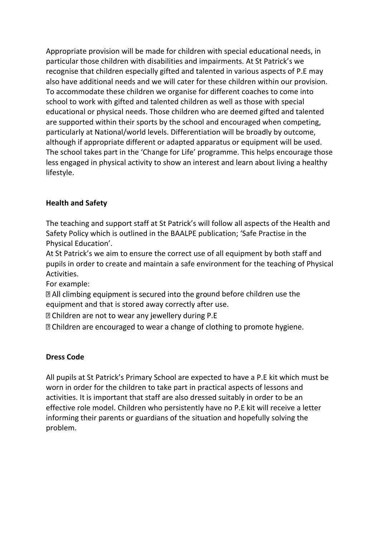Appropriate provision will be made for children with special educational needs, in particular those children with disabilities and impairments. At St Patrick's we recognise that children especially gifted and talented in various aspects of P.E may also have additional needs and we will cater for these children within our provision. To accommodate these children we organise for different coaches to come into school to work with gifted and talented children as well as those with special educational or physical needs. Those children who are deemed gifted and talented are supported within their sports by the school and encouraged when competing, particularly at National/world levels. Differentiation will be broadly by outcome, although if appropriate different or adapted apparatus or equipment will be used. The school takes part in the 'Change for Life' programme. This helps encourage those less engaged in physical activity to show an interest and learn about living a healthy lifestyle.

# **Health and Safety**

The teaching and support staff at St Patrick's will follow all aspects of the Health and Safety Policy which is outlined in the BAALPE publication; 'Safe Practise in the Physical Education'.

At St Patrick's we aim to ensure the correct use of all equipment by both staff and pupils in order to create and maintain a safe environment for the teaching of Physical Activities.

For example:

 $\mathbb D$  All climbing equipment is secured into the ground before children use the equipment and that is stored away correctly after use.

**sqrt** Children are not to wear any jewellery during P.E

**sqrtmata** Children are encouraged to wear a change of clothing to promote hygiene.

# **Dress Code**

All pupils at St Patrick's Primary School are expected to have a P.E kit which must be worn in order for the children to take part in practical aspects of lessons and activities. It is important that staff are also dressed suitably in order to be an effective role model. Children who persistently have no P.E kit will receive a letter informing their parents or guardians of the situation and hopefully solving the problem.